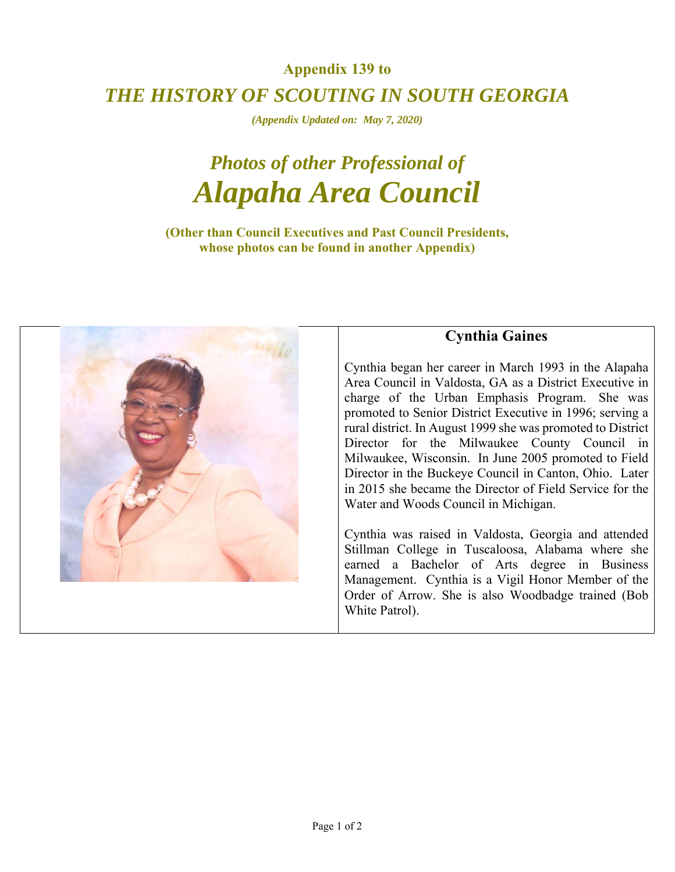## **Appendix 139 to**  *THE HISTORY OF SCOUTING IN SOUTH GEORGIA*

*(Appendix Updated on: May 7, 2020)* 

## *Photos of other Professional of Alapaha Area Council*

**(Other than Council Executives and Past Council Presidents, whose photos can be found in another Appendix)** 



## **Cynthia Gaines**

Cynthia began her career in March 1993 in the Alapaha Area Council in Valdosta, GA as a District Executive in charge of the Urban Emphasis Program. She was promoted to Senior District Executive in 1996; serving a rural district. In August 1999 she was promoted to District Director for the Milwaukee County Council in Milwaukee, Wisconsin. In June 2005 promoted to Field Director in the Buckeye Council in Canton, Ohio. Later in 2015 she became the Director of Field Service for the Water and Woods Council in Michigan.

Cynthia was raised in Valdosta, Georgia and attended Stillman College in Tuscaloosa, Alabama where she earned a Bachelor of Arts degree in Business Management. Cynthia is a Vigil Honor Member of the Order of Arrow. She is also Woodbadge trained (Bob White Patrol).